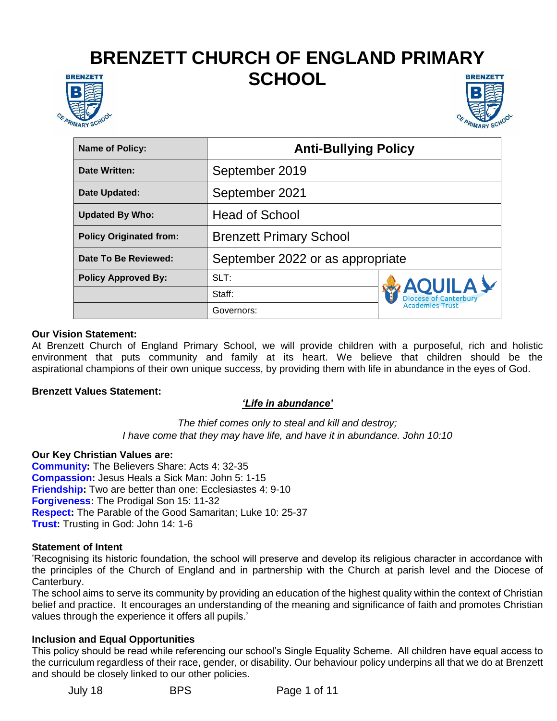# **BRENZETT CHURCH OF ENGLAND PRIMARY SCHOOL**





| <b>Name of Policy:</b>         | <b>Anti-Bullying Policy</b>      |                                                                   |
|--------------------------------|----------------------------------|-------------------------------------------------------------------|
| Date Written:                  | September 2019                   |                                                                   |
| Date Updated:                  | September 2021                   |                                                                   |
| <b>Updated By Who:</b>         | <b>Head of School</b>            |                                                                   |
| <b>Policy Originated from:</b> | <b>Brenzett Primary School</b>   |                                                                   |
| Date To Be Reviewed:           | September 2022 or as appropriate |                                                                   |
| <b>Policy Approved By:</b>     | SLT:                             | <b>AQUILAY</b><br>Diocese of Canterbury<br><b>Academies Trust</b> |
|                                | Staff:                           |                                                                   |
|                                | Governors:                       |                                                                   |

#### **Our Vision Statement:**

At Brenzett Church of England Primary School, we will provide children with a purposeful, rich and holistic environment that puts community and family at its heart. We believe that children should be the aspirational champions of their own unique success, by providing them with life in abundance in the eyes of God.

#### **Brenzett Values Statement:**

#### *'Life in abundance'*

*The thief comes only to steal and kill and destroy; I have come that they may have life, and have it in abundance. John 10:10*

#### **Our Key Christian Values are:**

**Community:** The Believers Share: Acts 4: 32-35 **Compassion:** Jesus Heals a Sick Man: John 5: 1-15 **Friendship:** Two are better than one: Ecclesiastes 4: 9-10 **Forgiveness:** The Prodigal Son 15: 11-32 **Respect:** The Parable of the Good Samaritan; Luke 10: 25-37 **Trust:** Trusting in God: John 14: 1-6

#### **Statement of Intent**

'Recognising its historic foundation, the school will preserve and develop its religious character in accordance with the principles of the Church of England and in partnership with the Church at parish level and the Diocese of Canterbury.

The school aims to serve its community by providing an education of the highest quality within the context of Christian belief and practice. It encourages an understanding of the meaning and significance of faith and promotes Christian values through the experience it offers all pupils.'

#### **Inclusion and Equal Opportunities**

This policy should be read while referencing our school's Single Equality Scheme. All children have equal access to the curriculum regardless of their race, gender, or disability. Our behaviour policy underpins all that we do at Brenzett and should be closely linked to our other policies.

July 18 BPS Page 1 of 11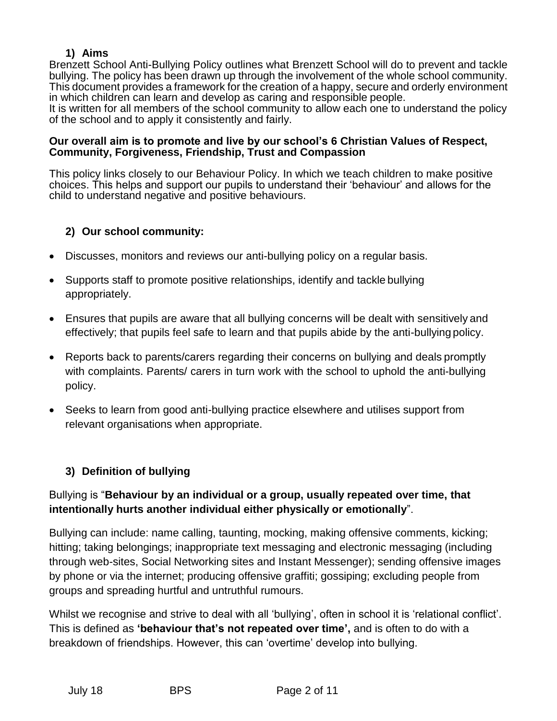## **1) Aims**

Brenzett School Anti-Bullying Policy outlines what Brenzett School will do to prevent and tackle bullying. The policy has been drawn up through the involvement of the whole school community. This document provides a framework for the creation of a happy, secure and orderly environment in which children can learn and develop as caring and responsible people.

It is written for all members of the school community to allow each one to understand the policy of the school and to apply it consistently and fairly.

#### **Our overall aim is to promote and live by our school's 6 Christian Values of Respect, Community, Forgiveness, Friendship, Trust and Compassion**

This policy links closely to our Behaviour Policy. In which we teach children to make positive choices. This helps and support our pupils to understand their 'behaviour' and allows for the child to understand negative and positive behaviours.

## **2) Our school community:**

- Discusses, monitors and reviews our anti-bullying policy on a regular basis.
- Supports staff to promote positive relationships, identify and tackle bullying appropriately.
- Ensures that pupils are aware that all bullying concerns will be dealt with sensitively and effectively; that pupils feel safe to learn and that pupils abide by the anti-bullying policy.
- Reports back to parents/carers regarding their concerns on bullying and deals promptly with complaints. Parents/ carers in turn work with the school to uphold the anti-bullying policy.
- Seeks to learn from good anti-bullying practice elsewhere and utilises support from relevant organisations when appropriate.

# **3) Definition of bullying**

# Bullying is "**Behaviour by an individual or a group, usually repeated over time, that intentionally hurts another individual either physically or emotionally**".

Bullying can include: name calling, taunting, mocking, making offensive comments, kicking; hitting; taking belongings; inappropriate text messaging and electronic messaging (including through web-sites, Social Networking sites and Instant Messenger); sending offensive images by phone or via the internet; producing offensive graffiti; gossiping; excluding people from groups and spreading hurtful and untruthful rumours.

Whilst we recognise and strive to deal with all 'bullying', often in school it is 'relational conflict'. This is defined as **'behaviour that's not repeated over time',** and is often to do with a breakdown of friendships. However, this can 'overtime' develop into bullying.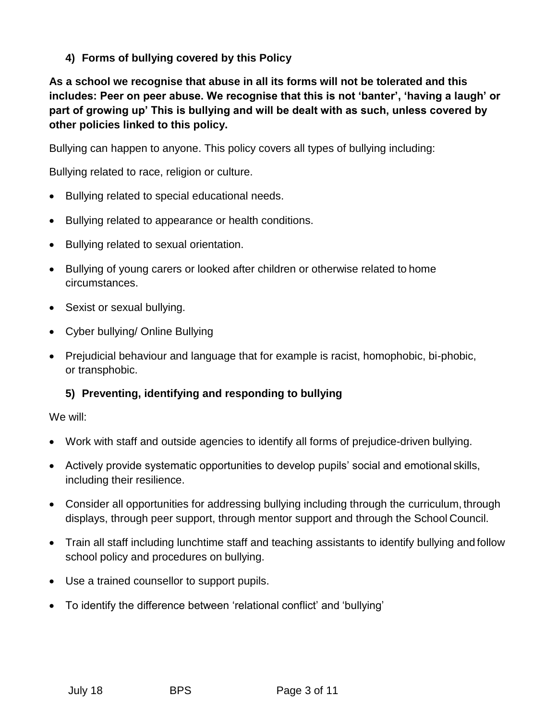**4) Forms of bullying covered by this Policy**

**As a school we recognise that abuse in all its forms will not be tolerated and this includes: Peer on peer abuse. We recognise that this is not 'banter', 'having a laugh' or part of growing up' This is bullying and will be dealt with as such, unless covered by other policies linked to this policy.**

Bullying can happen to anyone. This policy covers all types of bullying including:

Bullying related to race, religion or culture.

- Bullying related to special educational needs.
- Bullying related to appearance or health conditions.
- Bullying related to sexual orientation.
- Bullying of young carers or looked after children or otherwise related to home circumstances.
- Sexist or sexual bullying.
- Cyber bullying/ Online Bullying
- Prejudicial behaviour and language that for example is racist, homophobic, bi-phobic, or transphobic.

# **5) Preventing, identifying and responding to bullying**

We will:

- Work with staff and outside agencies to identify all forms of prejudice-driven bullying.
- Actively provide systematic opportunities to develop pupils' social and emotional skills, including their resilience.
- Consider all opportunities for addressing bullying including through the curriculum, through displays, through peer support, through mentor support and through the School Council.
- Train all staff including lunchtime staff and teaching assistants to identify bullying and follow school policy and procedures on bullying.
- Use a trained counsellor to support pupils.
- To identify the difference between 'relational conflict' and 'bullying'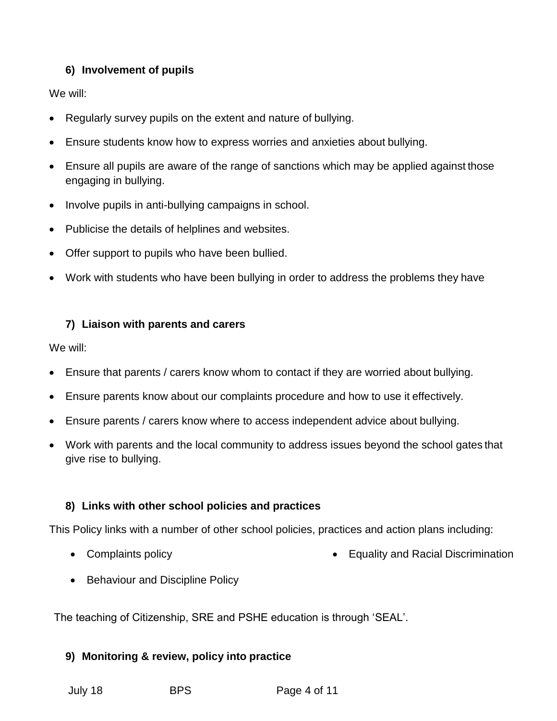# **6) Involvement of pupils**

We will:

- Regularly survey pupils on the extent and nature of bullying.
- Ensure students know how to express worries and anxieties about bullying.
- Ensure all pupils are aware of the range of sanctions which may be applied against those engaging in bullying.
- Involve pupils in anti-bullying campaigns in school.
- Publicise the details of helplines and websites.
- Offer support to pupils who have been bullied.
- Work with students who have been bullying in order to address the problems they have

## **7) Liaison with parents and carers**

We will:

- Ensure that parents / carers know whom to contact if they are worried about bullying.
- Ensure parents know about our complaints procedure and how to use it effectively.
- Ensure parents / carers know where to access independent advice about bullying.
- Work with parents and the local community to address issues beyond the school gates that give rise to bullying.

## **8) Links with other school policies and practices**

This Policy links with a number of other school policies, practices and action plans including:

- Complaints policy **Equality and Racial Discrimination**
- Behaviour and Discipline Policy

The teaching of Citizenship, SRE and PSHE education is through 'SEAL'.

## **9) Monitoring & review, policy into practice**

July 18 BPS Page 4 of 11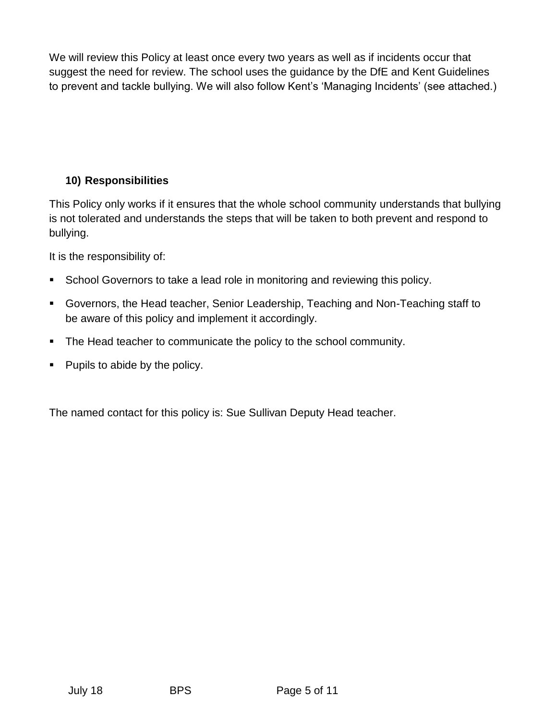We will review this Policy at least once every two years as well as if incidents occur that suggest the need for review. The school uses the guidance by the DfE and Kent Guidelines to prevent and tackle bullying. We will also follow Kent's 'Managing Incidents' (see attached.)

# **10) Responsibilities**

This Policy only works if it ensures that the whole school community understands that bullying is not tolerated and understands the steps that will be taken to both prevent and respond to bullying.

It is the responsibility of:

- School Governors to take a lead role in monitoring and reviewing this policy.
- Governors, the Head teacher, Senior Leadership, Teaching and Non-Teaching staff to be aware of this policy and implement it accordingly.
- The Head teacher to communicate the policy to the school community.
- $\blacksquare$  Pupils to abide by the policy.

The named contact for this policy is: Sue Sullivan Deputy Head teacher.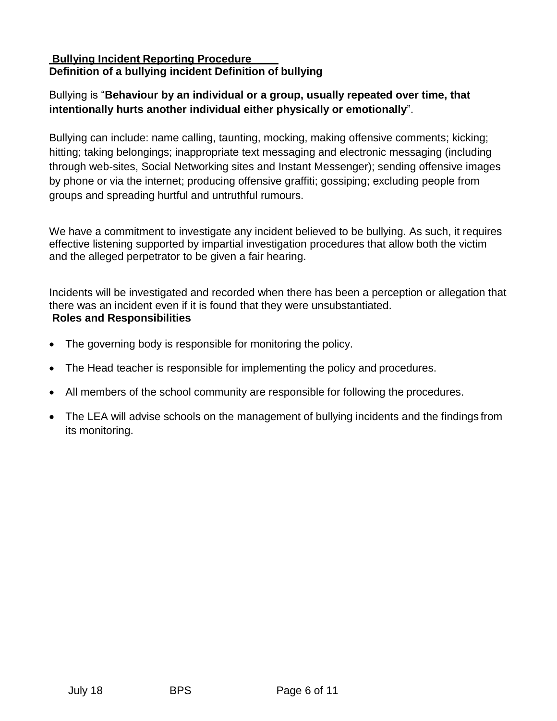#### **Bullying Incident Reporting Procedure Definition of a bullying incident Definition of bullying**

# Bullying is "**Behaviour by an individual or a group, usually repeated over time, that intentionally hurts another individual either physically or emotionally**".

Bullying can include: name calling, taunting, mocking, making offensive comments; kicking; hitting; taking belongings; inappropriate text messaging and electronic messaging (including through web-sites, Social Networking sites and Instant Messenger); sending offensive images by phone or via the internet; producing offensive graffiti; gossiping; excluding people from groups and spreading hurtful and untruthful rumours.

We have a commitment to investigate any incident believed to be bullying. As such, it requires effective listening supported by impartial investigation procedures that allow both the victim and the alleged perpetrator to be given a fair hearing.

Incidents will be investigated and recorded when there has been a perception or allegation that there was an incident even if it is found that they were unsubstantiated. **Roles and Responsibilities**

- The governing body is responsible for monitoring the policy.
- The Head teacher is responsible for implementing the policy and procedures.
- All members of the school community are responsible for following the procedures.
- The LEA will advise schools on the management of bullying incidents and the findings from its monitoring.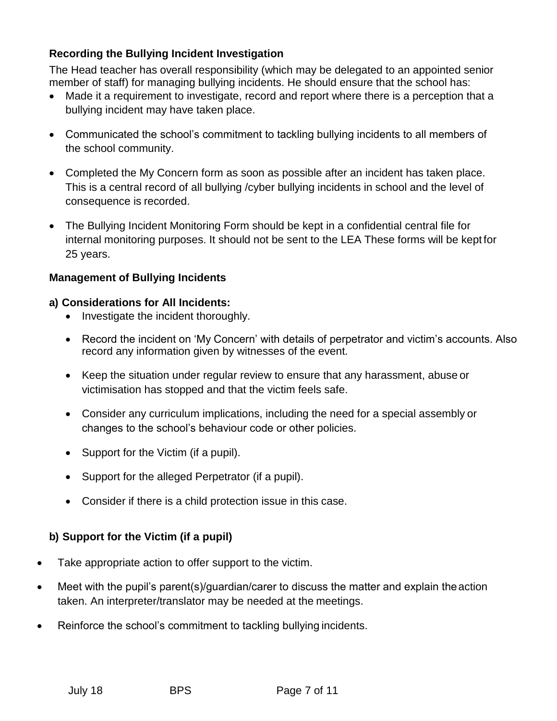## **Recording the Bullying Incident Investigation**

The Head teacher has overall responsibility (which may be delegated to an appointed senior member of staff) for managing bullying incidents. He should ensure that the school has:

- Made it a requirement to investigate, record and report where there is a perception that a bullying incident may have taken place.
- Communicated the school's commitment to tackling bullying incidents to all members of the school community.
- Completed the My Concern form as soon as possible after an incident has taken place. This is a central record of all bullying /cyber bullying incidents in school and the level of consequence is recorded.
- The Bullying Incident Monitoring Form should be kept in a confidential central file for internal monitoring purposes. It should not be sent to the LEA These forms will be kept for 25 years.

## **Management of Bullying Incidents**

## **a) Considerations for All Incidents:**

- Investigate the incident thoroughly.
- Record the incident on 'My Concern' with details of perpetrator and victim's accounts. Also record any information given by witnesses of the event.
- Keep the situation under regular review to ensure that any harassment, abuse or victimisation has stopped and that the victim feels safe.
- Consider any curriculum implications, including the need for a special assembly or changes to the school's behaviour code or other policies.
- Support for the Victim (if a pupil).
- Support for the alleged Perpetrator (if a pupil).
- Consider if there is a child protection issue in this case.

# **b) Support for the Victim (if a pupil)**

- Take appropriate action to offer support to the victim.
- Meet with the pupil's parent(s)/guardian/carer to discuss the matter and explain theaction taken. An interpreter/translator may be needed at the meetings.
- Reinforce the school's commitment to tackling bullying incidents.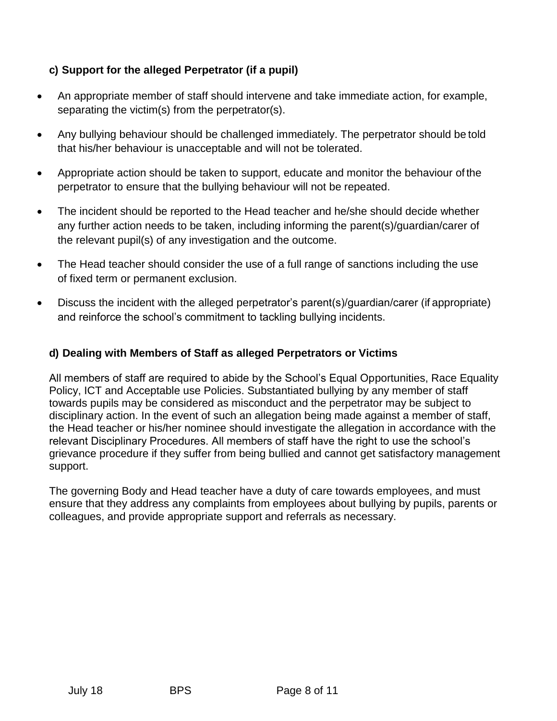# **c) Support for the alleged Perpetrator (if a pupil)**

- An appropriate member of staff should intervene and take immediate action, for example, separating the victim(s) from the perpetrator(s).
- Any bullying behaviour should be challenged immediately. The perpetrator should be told that his/her behaviour is unacceptable and will not be tolerated.
- Appropriate action should be taken to support, educate and monitor the behaviour of the perpetrator to ensure that the bullying behaviour will not be repeated.
- The incident should be reported to the Head teacher and he/she should decide whether any further action needs to be taken, including informing the parent(s)/guardian/carer of the relevant pupil(s) of any investigation and the outcome.
- The Head teacher should consider the use of a full range of sanctions including the use of fixed term or permanent exclusion.
- Discuss the incident with the alleged perpetrator's parent(s)/guardian/carer (if appropriate) and reinforce the school's commitment to tackling bullying incidents.

## **d) Dealing with Members of Staff as alleged Perpetrators or Victims**

All members of staff are required to abide by the School's Equal Opportunities, Race Equality Policy, ICT and Acceptable use Policies. Substantiated bullying by any member of staff towards pupils may be considered as misconduct and the perpetrator may be subject to disciplinary action. In the event of such an allegation being made against a member of staff, the Head teacher or his/her nominee should investigate the allegation in accordance with the relevant Disciplinary Procedures. All members of staff have the right to use the school's grievance procedure if they suffer from being bullied and cannot get satisfactory management support.

The governing Body and Head teacher have a duty of care towards employees, and must ensure that they address any complaints from employees about bullying by pupils, parents or colleagues, and provide appropriate support and referrals as necessary.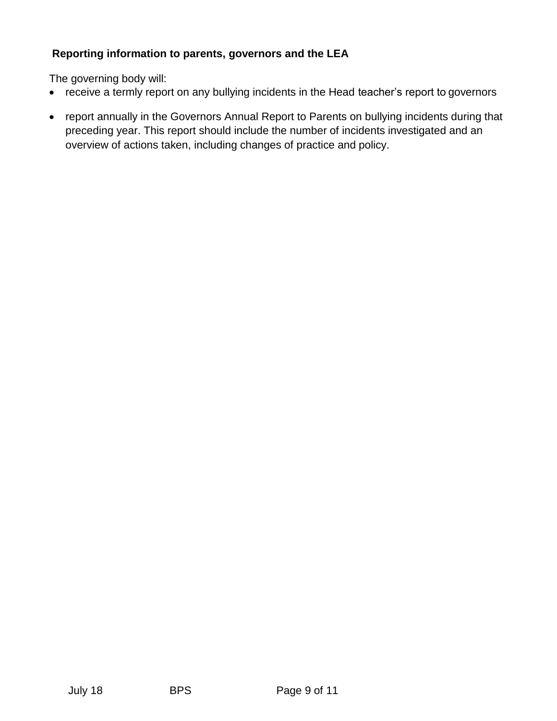# **Reporting information to parents, governors and the LEA**

The governing body will:

- receive a termly report on any bullying incidents in the Head teacher's report to governors
- report annually in the Governors Annual Report to Parents on bullying incidents during that preceding year. This report should include the number of incidents investigated and an overview of actions taken, including changes of practice and policy.